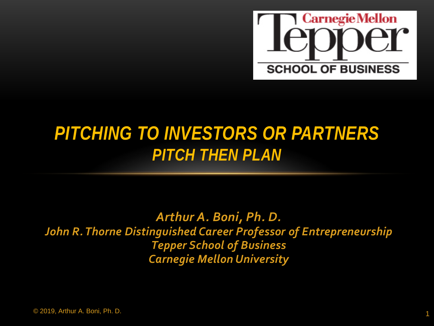

#### *PITCHING TO INVESTORS OR PARTNERS PITCH THEN PLAN*

*Arthur A. Boni, Ph. D. John R. Thorne Distinguished Career Professor of Entrepreneurship Tepper School of Business Carnegie Mellon University*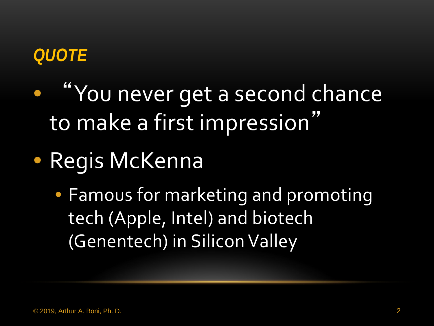#### *QUOTE*

- "You never get a second chance to make a first impression"
- Regis McKenna
	- Famous for marketing and promoting tech (Apple, Intel) and biotech (Genentech) in Silicon Valley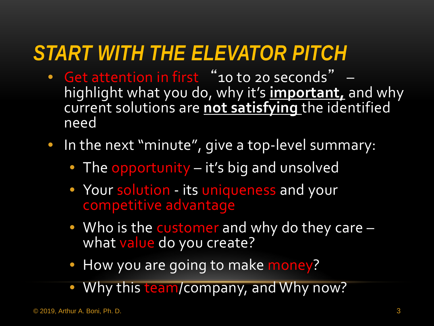# *START WITH THE ELEVATOR PITCH*

- Get attention in first "10 to 20 seconds" highlight what you do, why it's **important,** and why current solutions are **not satisfying** the identified need
- In the next "minute", give a top-level summary:
	- The opportunity it's big and unsolved
	- Your solution its uniqueness and your competitive advantage
	- Who is the customer and why do they care –<br>what value do you create?
	- How you are going to make money?
	- Why this team/company, and Why now?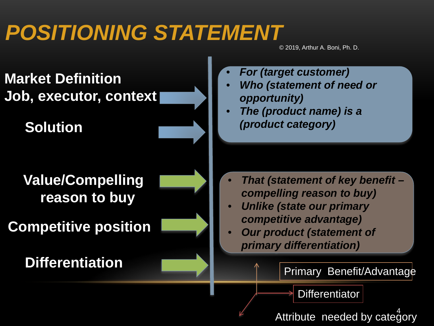# *POSITIONING STATEMENT*

© 2019, Arthur A. Boni, Ph. D.

**Market Definition Job, executor, context**

**Solution**

**Value/Compelling reason to buy**

**Competitive position**

**Differentiation**

- *For (target customer)*
- *Who (statement of need or opportunity)*
- *The (product name) is a (product category)*

- *That (statement of key benefit – compelling reason to buy)*
- *Unlike (state our primary competitive advantage)*
- *Our product (statement of primary differentiation)*

Primary Benefit/Advantage

**Differentiator** 

Attribute needed by category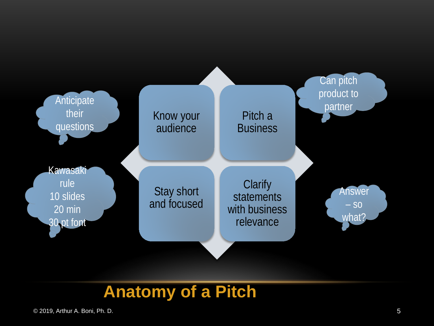

#### **Anatomy of a Pitch**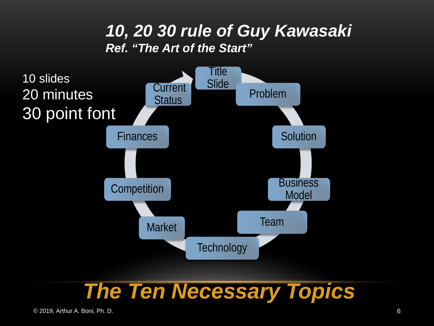#### *10, 20 30 rule of Guy Kawasaki Ref. "The Art of the Start"*



#### *The Ten Necessary Topics*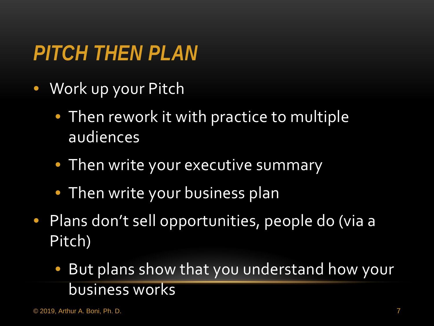# *PITCH THEN PLAN*

- Work up your Pitch
	- Then rework it with practice to multiple audiences
	- Then write your executive summary
	- Then write your business plan
- Plans don't sell opportunities, people do (via a Pitch)
	- But plans show that you understand how your business works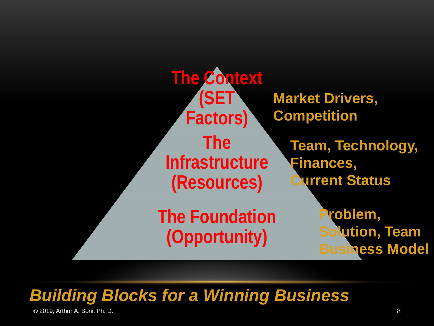

#### *Building Blocks for a Winning Business*

© 2019, Arthur A. Boni, Ph. D. 8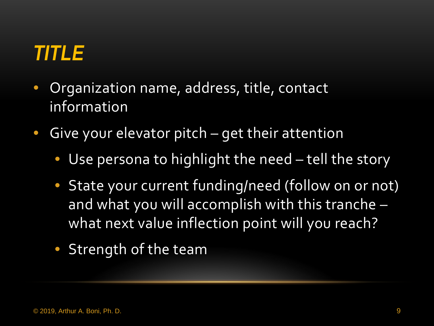# *TITLE*

- Organization name, address, title, contact information
- Give your elevator pitch get their attention
	- Use persona to highlight the need tell the story
	- State your current funding/need (follow on or not) and what you will accomplish with this tranche – what next value inflection point will you reach?
	- Strength of the team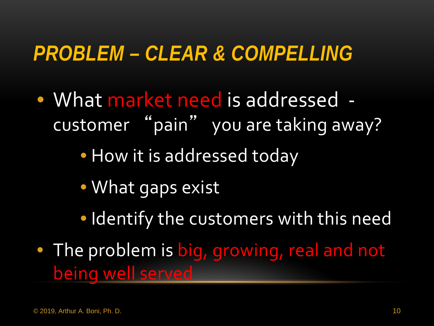#### *PROBLEM – CLEAR & COMPELLING*

• What market need is addressed customer "pain" you are taking away?

• How it is addressed today

- What gaps exist
- Identify the customers with this need
- The problem is big, growing, real and not being well served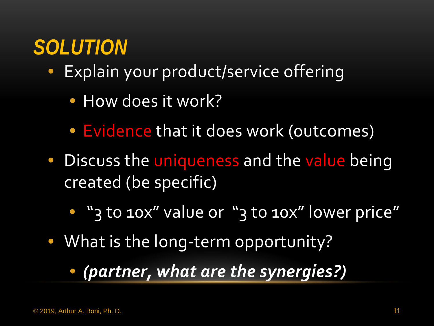# *SOLUTION*

- Explain your product/service offering
	- How does it work?
	- Evidence that it does work (outcomes)
- Discuss the uniqueness and the value being created (be specific)
	- "3 to 10x" value or "3 to 10x" lower price"
- What is the long-term opportunity?
	- *(partner, what are the synergies?)*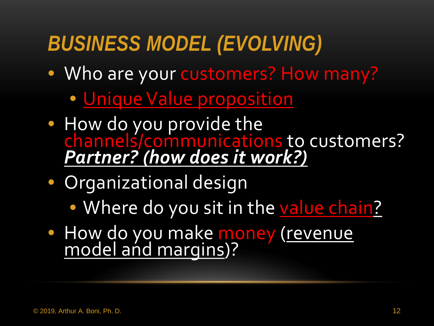# *BUSINESS MODEL (EVOLVING)*

- Who are your customers? How many?
	- Unique Value proposition
- How do you provide the channels/communications to customers? *Partner? (how does it work?)*
- Organizational design
	- Where do you sit in the value chain?
- How do you make money (revenue model and margins)?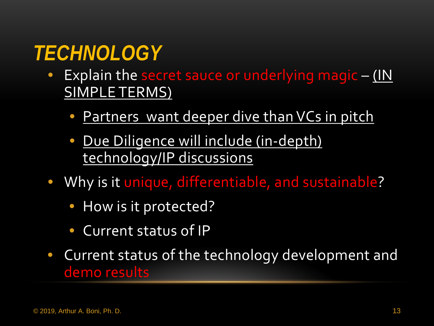# *TECHNOLOGY*

- Explain the secret sauce or underlying magic (IN SIMPLE TERMS)
	- Partners want deeper dive than VCs in pitch
	- Due Diligence will include (in-depth) technology/IP discussions
- Why is it unique, differentiable, and sustainable?
	- How is it protected?
	- Current status of IP
- Current status of the technology development and demo results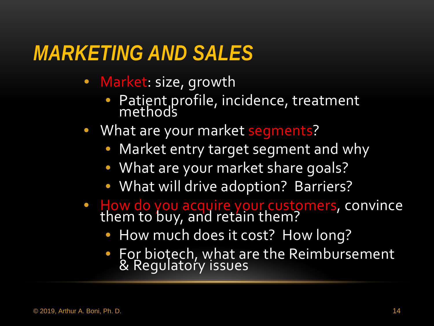#### *MARKETING AND SALES*

- Market: size, growth
	- Patient profile, incidence, treatment methods
- What are your market segments?
	- Market entry target segment and why
	- What are your market share goals?
	- What will drive adoption? Barriers?
- How do you acquire your customers, convince<br>them to buy, and retain them?
	- How much does it cost? How long?
	- For biotech, what are the Reimbursement & Regulatory issues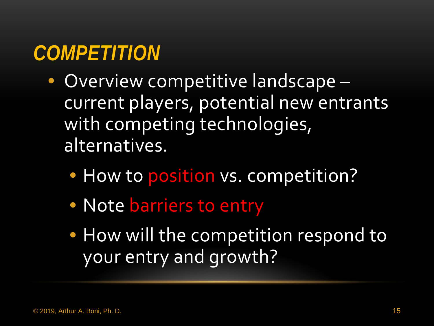## *COMPETITION*

- Overview competitive landscape current players, potential new entrants with competing technologies, alternatives.
	- How to position vs. competition?
	- Note barriers to entry
	- How will the competition respond to your entry and growth?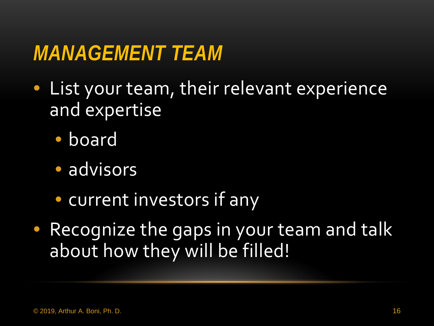#### *MANAGEMENT TEAM*

- List your team, their relevant experience and expertise
	- board
	- · advisors
	- current investors if any
- Recognize the gaps in your team and talk about how they will be filled!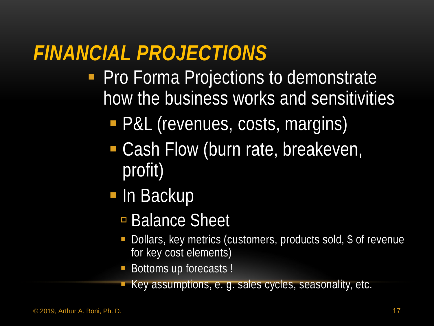# *FINANCIAL PROJECTIONS*

- **Pro Forma Projections to demonstrate** how the business works and sensitivities
	- P&L (revenues, costs, margins)
	- Cash Flow (burn rate, breakeven, profit)
	- **In Backup** 
		- **Balance Sheet**
		- Dollars, key metrics (customers, products sold, \$ of revenue for key cost elements)
		- Bottoms up forecasts !
		- Key assumptions, e. g. sales cycles, seasonality, etc.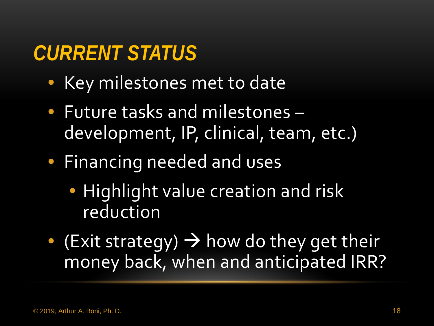# *CURRENT STATUS*

- Key milestones met to date
- Future tasks and milestones development, IP, clinical, team, etc.)
- Financing needed and uses
	- Highlight value creation and risk reduction
- $\bullet$  (Exit strategy)  $\rightarrow$  how do they get their money back, when and anticipated IRR?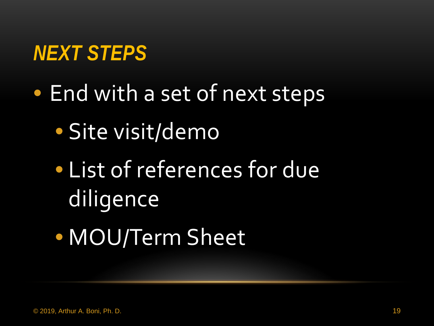### *NEXT STEPS*

- End with a set of next steps
	- Site visit/demo
	- List of references for due diligence
	- MOU/Term Sheet